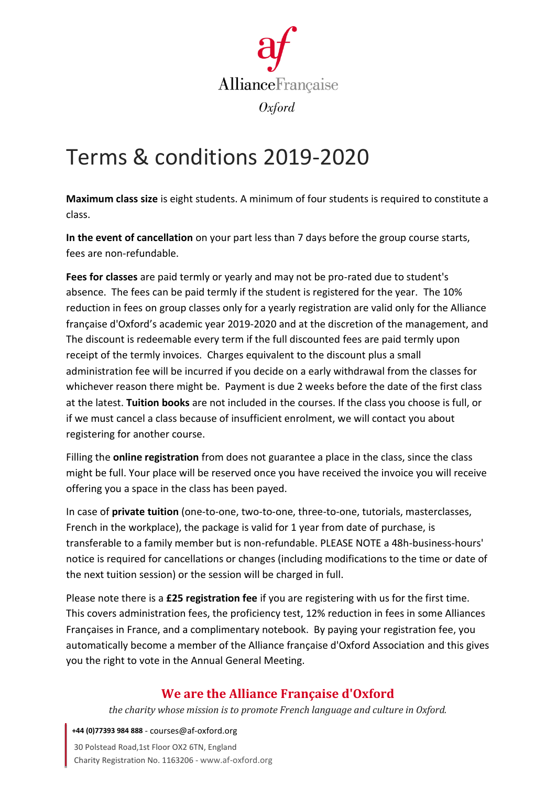

## Terms & conditions 2019-2020

**Maximum class size** is eight students. A minimum of four students is required to constitute a class.

**In the event of cancellation** on your part less than 7 days before the group course starts, fees are non-refundable.

**Fees for classes** are paid termly or yearly and may not be pro-rated due to student's absence. The fees can be paid termly if the student is registered for the year. The 10% reduction in fees on group classes only for a yearly registration are valid only for the Alliance française d'Oxford's academic year 2019-2020 and at the discretion of the management, and The discount is redeemable every term if the full discounted fees are paid termly upon receipt of the termly invoices. Charges equivalent to the discount plus a small administration fee will be incurred if you decide on a early withdrawal from the classes for whichever reason there might be. Payment is due 2 weeks before the date of the first class at the latest. **Tuition books** are not included in the courses. If the class you choose is full, or if we must cancel a class because of insufficient enrolment, we will contact you about registering for another course.

Filling the **online registration** from does not guarantee a place in the class, since the class might be full. Your place will be reserved once you have received the invoice you will receive offering you a space in the class has been payed.

In case of **private tuition** (one-to-one, two-to-one, three-to-one, tutorials, masterclasses, French in the workplace), the package is valid for 1 year from date of purchase, is transferable to a family member but is non-refundable. PLEASE NOTE a 48h-business-hours' notice is required for cancellations or changes (including modifications to the time or date of the next tuition session) or the session will be charged in full.

Please note there is a **£25 registration fee** if you are registering with us for the first time. This covers administration fees, the proficiency test, 12% reduction in fees in some Alliances Françaises in France, and a complimentary notebook. By paying your registration fee, you automatically become a member of the Alliance française d'Oxford Association and this gives you the right to vote in the Annual General Meeting.

## **We are the Alliance Française d'Oxford**

*the charity whose mission is to promote French language and culture in Oxford.*

**+44 (0)77393 984 888** - courses@af-oxford.org

30 Polstead Road,1st Floor OX2 6TN, England Charity Registration No. 1163206 - www.af-oxford.org